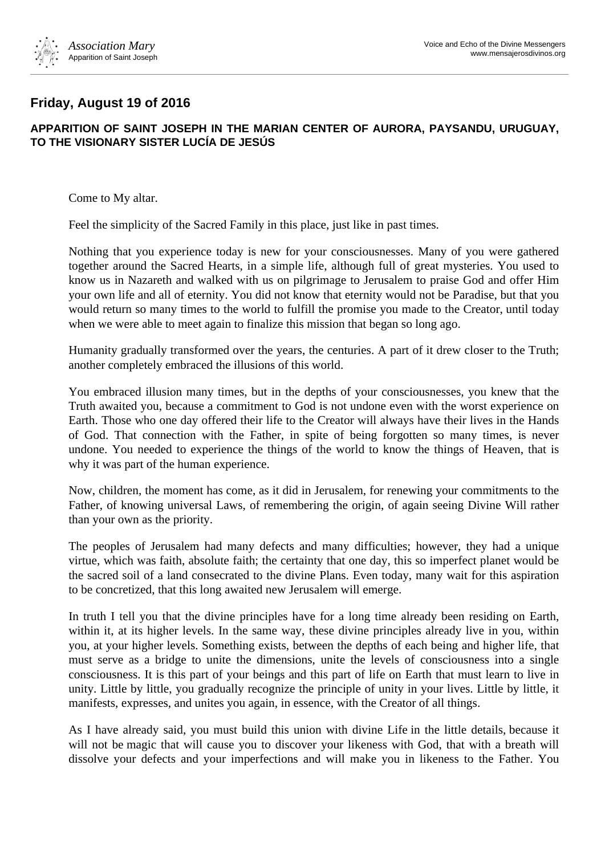

## **Friday, August 19 of 2016**

## **APPARITION OF SAINT JOSEPH IN THE MARIAN CENTER OF AURORA, PAYSANDU, URUGUAY, TO THE VISIONARY SISTER LUCÍA DE JESÚS**

Come to My altar.

Feel the simplicity of the Sacred Family in this place, just like in past times.

Nothing that you experience today is new for your consciousnesses. Many of you were gathered together around the Sacred Hearts, in a simple life, although full of great mysteries. You used to know us in Nazareth and walked with us on pilgrimage to Jerusalem to praise God and offer Him your own life and all of eternity. You did not know that eternity would not be Paradise, but that you would return so many times to the world to fulfill the promise you made to the Creator, until today when we were able to meet again to finalize this mission that began so long ago.

Humanity gradually transformed over the years, the centuries. A part of it drew closer to the Truth; another completely embraced the illusions of this world.

You embraced illusion many times, but in the depths of your consciousnesses, you knew that the Truth awaited you, because a commitment to God is not undone even with the worst experience on Earth. Those who one day offered their life to the Creator will always have their lives in the Hands of God. That connection with the Father, in spite of being forgotten so many times, is never undone. You needed to experience the things of the world to know the things of Heaven, that is why it was part of the human experience.

Now, children, the moment has come, as it did in Jerusalem, for renewing your commitments to the Father, of knowing universal Laws, of remembering the origin, of again seeing Divine Will rather than your own as the priority.

The peoples of Jerusalem had many defects and many difficulties; however, they had a unique virtue, which was faith, absolute faith; the certainty that one day, this so imperfect planet would be the sacred soil of a land consecrated to the divine Plans. Even today, many wait for this aspiration to be concretized, that this long awaited new Jerusalem will emerge.

In truth I tell you that the divine principles have for a long time already been residing on Earth, within it, at its higher levels. In the same way, these divine principles already live in you, within you, at your higher levels. Something exists, between the depths of each being and higher life, that must serve as a bridge to unite the dimensions, unite the levels of consciousness into a single consciousness. It is this part of your beings and this part of life on Earth that must learn to live in unity. Little by little, you gradually recognize the principle of unity in your lives. Little by little, it manifests, expresses, and unites you again, in essence, with the Creator of all things.

As I have already said, you must build this union with divine Life in the little details, because it will not be magic that will cause you to discover your likeness with God, that with a breath will dissolve your defects and your imperfections and will make you in likeness to the Father. You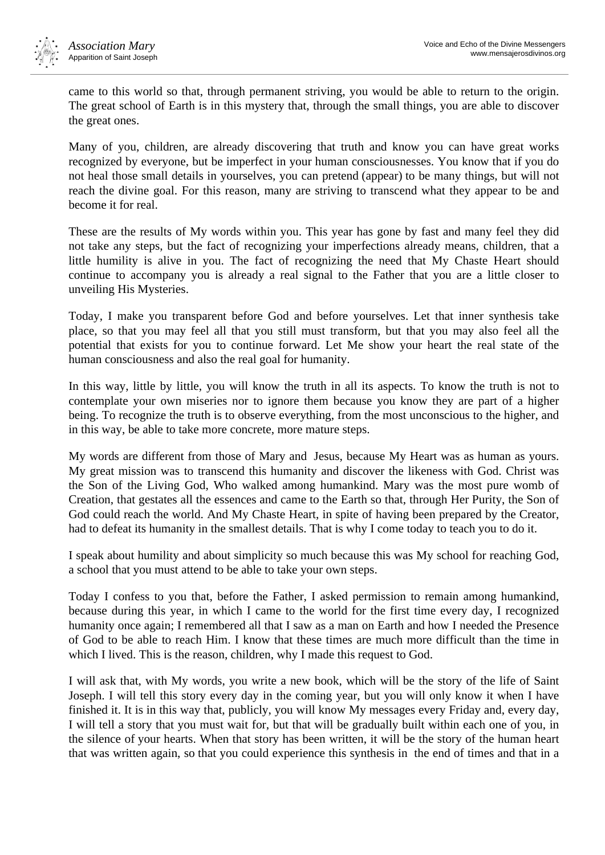

came to this world so that, through permanent striving, you would be able to return to the origin. The great school of Earth is in this mystery that, through the small things, you are able to discover the great ones.

Many of you, children, are already discovering that truth and know you can have great works recognized by everyone, but be imperfect in your human consciousnesses. You know that if you do not heal those small details in yourselves, you can pretend (appear) to be many things, but will not reach the divine goal. For this reason, many are striving to transcend what they appear to be and become it for real.

These are the results of My words within you. This year has gone by fast and many feel they did not take any steps, but the fact of recognizing your imperfections already means, children, that a little humility is alive in you. The fact of recognizing the need that My Chaste Heart should continue to accompany you is already a real signal to the Father that you are a little closer to unveiling His Mysteries.

Today, I make you transparent before God and before yourselves. Let that inner synthesis take place, so that you may feel all that you still must transform, but that you may also feel all the potential that exists for you to continue forward. Let Me show your heart the real state of the human consciousness and also the real goal for humanity.

In this way, little by little, you will know the truth in all its aspects. To know the truth is not to contemplate your own miseries nor to ignore them because you know they are part of a higher being. To recognize the truth is to observe everything, from the most unconscious to the higher, and in this way, be able to take more concrete, more mature steps.

My words are different from those of Mary and Jesus, because My Heart was as human as yours. My great mission was to transcend this humanity and discover the likeness with God. Christ was the Son of the Living God, Who walked among humankind. Mary was the most pure womb of Creation, that gestates all the essences and came to the Earth so that, through Her Purity, the Son of God could reach the world. And My Chaste Heart, in spite of having been prepared by the Creator, had to defeat its humanity in the smallest details. That is why I come today to teach you to do it.

I speak about humility and about simplicity so much because this was My school for reaching God, a school that you must attend to be able to take your own steps.

Today I confess to you that, before the Father, I asked permission to remain among humankind, because during this year, in which I came to the world for the first time every day, I recognized humanity once again; I remembered all that I saw as a man on Earth and how I needed the Presence of God to be able to reach Him. I know that these times are much more difficult than the time in which I lived. This is the reason, children, why I made this request to God.

I will ask that, with My words, you write a new book, which will be the story of the life of Saint Joseph. I will tell this story every day in the coming year, but you will only know it when I have finished it. It is in this way that, publicly, you will know My messages every Friday and, every day, I will tell a story that you must wait for, but that will be gradually built within each one of you, in the silence of your hearts. When that story has been written, it will be the story of the human heart that was written again, so that you could experience this synthesis in the end of times and that in a